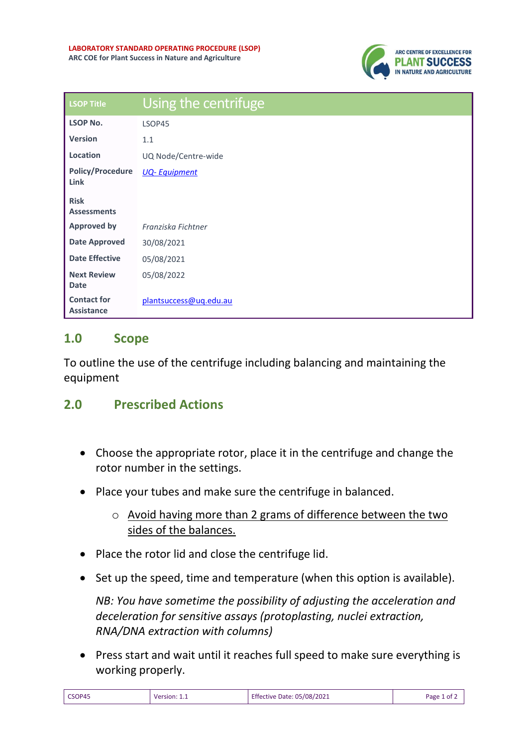

| <b>LSOP Title</b>                       | Using the centrifuge   |
|-----------------------------------------|------------------------|
| <b>LSOP No.</b>                         | LSOP45                 |
| <b>Version</b>                          | 1.1                    |
| Location                                | UQ Node/Centre-wide    |
| <b>Policy/Procedure</b><br>Link         | <b>UQ-Equipment</b>    |
| <b>Risk</b><br><b>Assessments</b>       |                        |
| <b>Approved by</b>                      | Franziska Fichtner     |
| <b>Date Approved</b>                    | 30/08/2021             |
| <b>Date Effective</b>                   | 05/08/2021             |
| <b>Next Review</b><br><b>Date</b>       | 05/08/2022             |
| <b>Contact for</b><br><b>Assistance</b> | plantsuccess@ug.edu.au |

## **1.0 Scope**

To outline the use of the centrifuge including balancing and maintaining the equipment

## **2.0 Prescribed Actions**

- Choose the appropriate rotor, place it in the centrifuge and change the rotor number in the settings.
- Place your tubes and make sure the centrifuge in balanced.
	- o Avoid having more than 2 grams of difference between the two sides of the balances.
- Place the rotor lid and close the centrifuge lid.
- Set up the speed, time and temperature (when this option is available).

*NB: You have sometime the possibility of adjusting the acceleration and deceleration for sensitive assays (protoplasting, nuclei extraction, RNA/DNA extraction with columns)*

• Press start and wait until it reaches full speed to make sure everything is working properly.

| CSOP45<br>Version: $1_{\cdot}$ | <b>Effective Date: 05/08/2021</b> | Page 1 of $\angle$ |
|--------------------------------|-----------------------------------|--------------------|
|--------------------------------|-----------------------------------|--------------------|